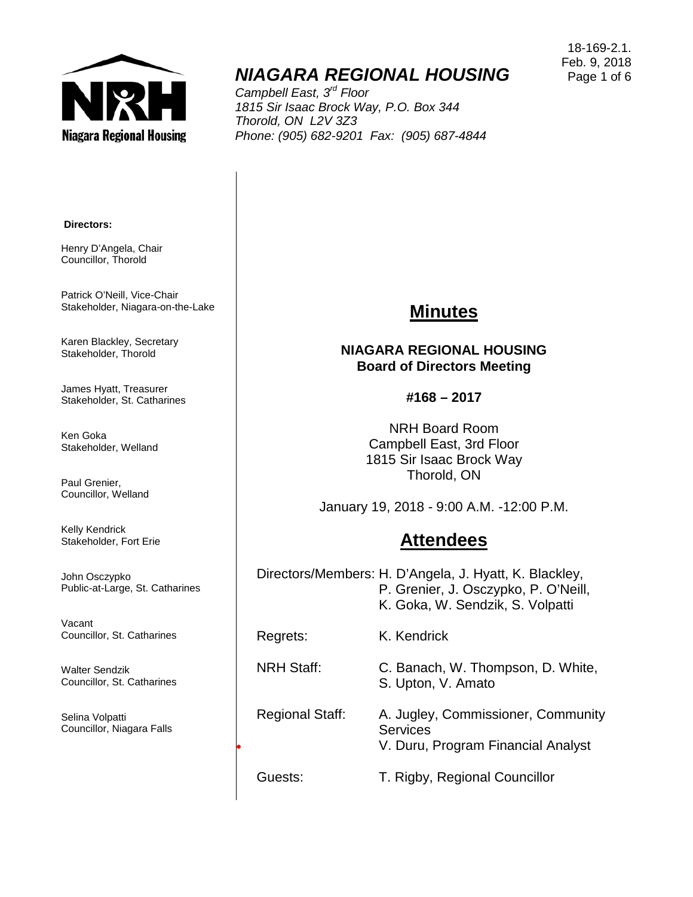

# *NIAGARA REGIONAL HOUSING*

*Campbell East, 3rd Floor 1815 Sir Isaac Brock Way, P.O. Box 344 Thorold, ON L2V 3Z3 Phone: (905) 682-9201 Fax: (905) 687-4844*

**Directors:**

Henry D'Angela, Chair Councillor, Thorold

Patrick O'Neill, Vice-Chair Stakeholder, Niagara-on-the-Lake

Karen Blackley, Secretary Stakeholder, Thorold

James Hyatt, Treasurer Stakeholder, St. Catharines

Ken Goka Stakeholder, Welland

Paul Grenier, Councillor, Welland

Kelly Kendrick Stakeholder, Fort Erie

John Osczypko Public-at-Large, St. Catharines

Vacant Councillor, St. Catharines

Walter Sendzik Councillor, St. Catharines

Selina Volpatti Councillor, Niagara Falls

#### **NIAGARA REGIONAL HOUSING Board of Directors Meeting**

**#168 – 2017**

NRH Board Room Campbell East, 3rd Floor 1815 Sir Isaac Brock Way Thorold, ON

January 19, 2018 - 9:00 A.M. -12:00 P.M.

### **Attendees**

Directors/Members: H. D'Angela, J. Hyatt, K. Blackley, P. Grenier, J. Osczypko, P. O'Neill, K. Goka, W. Sendzik, S. Volpatti

S. Upton, V. Amato

Regrets: K. Kendrick

NRH Staff: C. Banach, W. Thompson, D. White,

## Regional Staff: A. Jugley, Commissioner, Community **Services**

• V. Duru, Program Financial Analyst

Guests: T. Rigby, Regional Councillor

# **Minutes**

18-169-2.1. Feb. 9, 2018 Page 1 of 6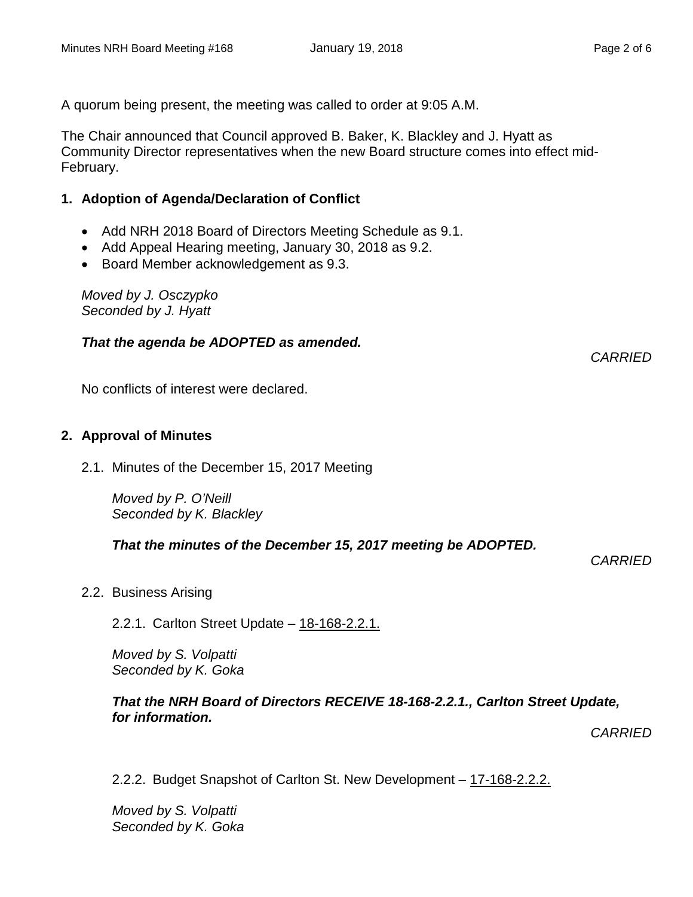A quorum being present, the meeting was called to order at 9:05 A.M.

The Chair announced that Council approved B. Baker, K. Blackley and J. Hyatt as Community Director representatives when the new Board structure comes into effect mid-February.

#### **1. Adoption of Agenda/Declaration of Conflict**

- Add NRH 2018 Board of Directors Meeting Schedule as 9.1.
- Add Appeal Hearing meeting, January 30, 2018 as 9.2.
- Board Member acknowledgement as 9.3.

*Moved by J. Osczypko Seconded by J. Hyatt*

#### *That the agenda be ADOPTED as amended.*

No conflicts of interest were declared.

#### **2. Approval of Minutes**

2.1. Minutes of the December 15, 2017 Meeting

*Moved by P. O'Neill Seconded by K. Blackley*

*That the minutes of the December 15, 2017 meeting be ADOPTED.* 

*CARRIED*

*CARRIED*

2.2. Business Arising

2.2.1. Carlton Street Update – 18-168-2.2.1.

*Moved by S. Volpatti Seconded by K. Goka*

#### *That the NRH Board of Directors RECEIVE 18-168-2.2.1., Carlton Street Update, for information.*

*CARRIED*

2.2.2. Budget Snapshot of Carlton St. New Development – 17-168-2.2.2.

*Moved by S. Volpatti Seconded by K. Goka*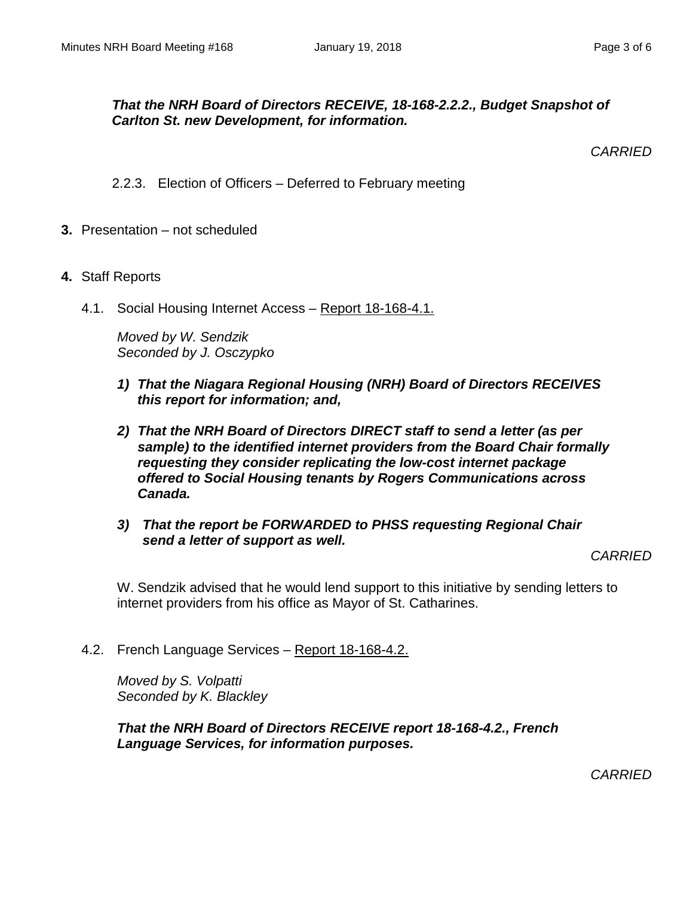#### *That the NRH Board of Directors RECEIVE, 18-168-2.2.2., Budget Snapshot of Carlton St. new Development, for information.*

*CARRIED*

- 2.2.3. Election of Officers Deferred to February meeting
- **3.** Presentation not scheduled
- **4.** Staff Reports
	- 4.1. Social Housing Internet Access Report 18-168-4.1.

*Moved by W. Sendzik Seconded by J. Osczypko*

- *1) That the Niagara Regional Housing (NRH) Board of Directors RECEIVES this report for information; and,*
- *2) That the NRH Board of Directors DIRECT staff to send a letter (as per sample) to the identified internet providers from the Board Chair formally requesting they consider replicating the low-cost internet package offered to Social Housing tenants by Rogers Communications across Canada.*
- *3) That the report be FORWARDED to PHSS requesting Regional Chair send a letter of support as well.*

*CARRIED*

W. Sendzik advised that he would lend support to this initiative by sending letters to internet providers from his office as Mayor of St. Catharines.

4.2. French Language Services – Report 18-168-4.2.

*Moved by S. Volpatti Seconded by K. Blackley*

*That the NRH Board of Directors RECEIVE report 18-168-4.2., French Language Services, for information purposes.*

*CARRIED*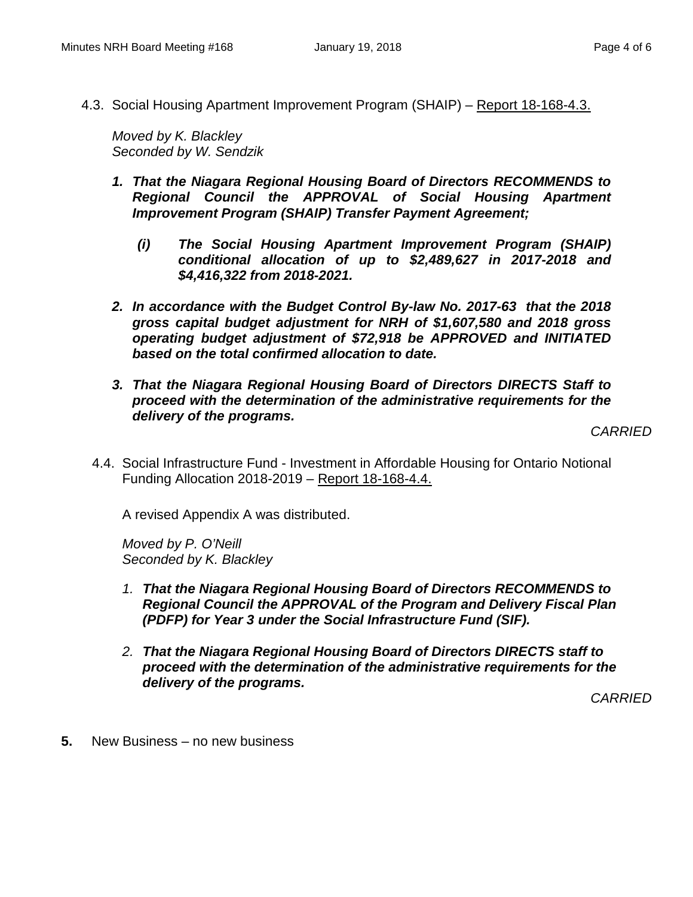4.3. Social Housing Apartment Improvement Program (SHAIP) – Report 18-168-4.3.

*Moved by K. Blackley Seconded by W. Sendzik*

- *1. That the Niagara Regional Housing Board of Directors RECOMMENDS to Regional Council the APPROVAL of Social Housing Apartment Improvement Program (SHAIP) Transfer Payment Agreement;* 
	- *(i) The Social Housing Apartment Improvement Program (SHAIP) conditional allocation of up to \$2,489,627 in 2017-2018 and \$4,416,322 from 2018-2021.*
- *2. In accordance with the Budget Control By-law No. 2017-63 that the 2018 gross capital budget adjustment for NRH of \$1,607,580 and 2018 gross operating budget adjustment of \$72,918 be APPROVED and INITIATED based on the total confirmed allocation to date.*
- *3. That the Niagara Regional Housing Board of Directors DIRECTS Staff to proceed with the determination of the administrative requirements for the delivery of the programs.*

*CARRIED*

4.4. Social Infrastructure Fund - Investment in Affordable Housing for Ontario Notional Funding Allocation 2018-2019 – Report 18-168-4.4.

A revised Appendix A was distributed.

*Moved by P. O'Neill Seconded by K. Blackley*

- *1. That the Niagara Regional Housing Board of Directors RECOMMENDS to Regional Council the APPROVAL of the Program and Delivery Fiscal Plan (PDFP) for Year 3 under the Social Infrastructure Fund (SIF).*
- *2. That the Niagara Regional Housing Board of Directors DIRECTS staff to proceed with the determination of the administrative requirements for the delivery of the programs.*

*CARRIED*

**5.** New Business – no new business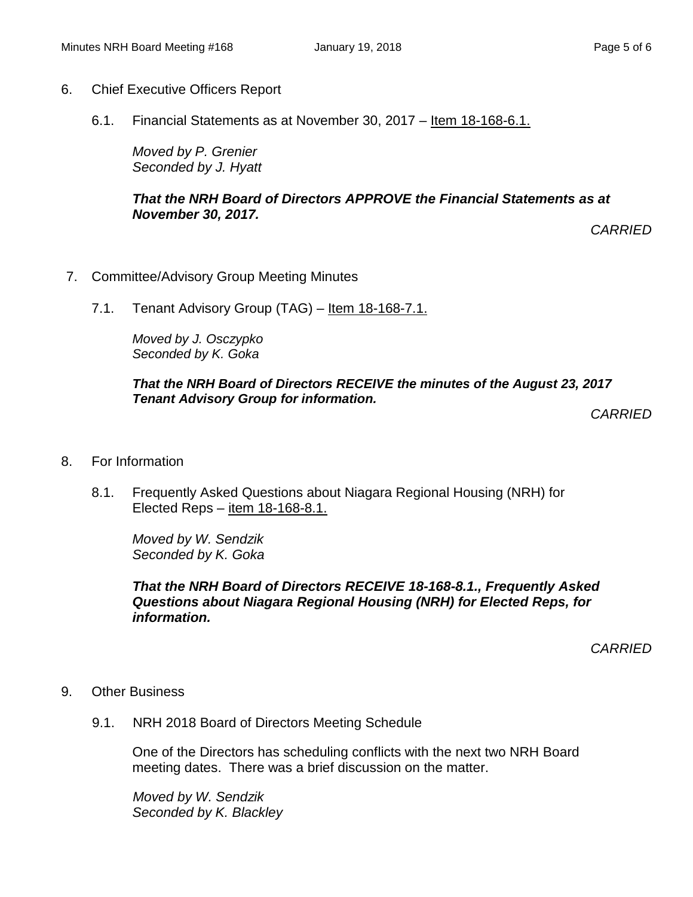#### 6. Chief Executive Officers Report

6.1. Financial Statements as at November 30, 2017 – Item 18-168-6.1.

*Moved by P. Grenier Seconded by J. Hyatt*

*That the NRH Board of Directors APPROVE the Financial Statements as at November 30, 2017.*

*CARRIED*

- 7. Committee/Advisory Group Meeting Minutes
	- 7.1. Tenant Advisory Group (TAG) Item 18-168-7.1.

*Moved by J. Osczypko Seconded by K. Goka*

#### *That the NRH Board of Directors RECEIVE the minutes of the August 23, 2017 Tenant Advisory Group for information.*

*CARRIED*

- 8. For Information
	- 8.1. Frequently Asked Questions about Niagara Regional Housing (NRH) for Elected Reps – item 18-168-8.1.

*Moved by W. Sendzik Seconded by K. Goka*

*That the NRH Board of Directors RECEIVE 18-168-8.1., Frequently Asked Questions about Niagara Regional Housing (NRH) for Elected Reps, for information.*

*CARRIED*

- 9. Other Business
	- 9.1. NRH 2018 Board of Directors Meeting Schedule

One of the Directors has scheduling conflicts with the next two NRH Board meeting dates. There was a brief discussion on the matter.

*Moved by W. Sendzik Seconded by K. Blackley*